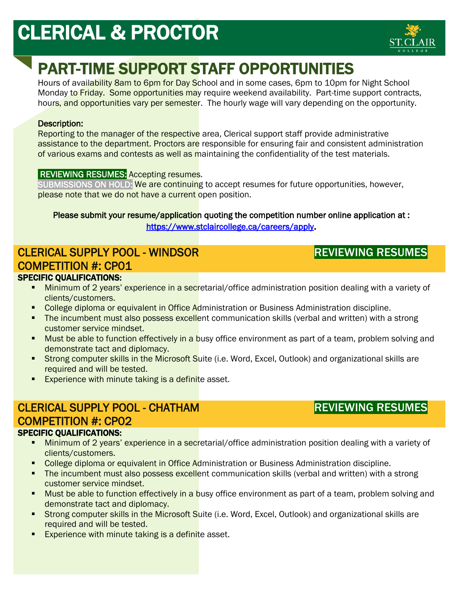# CLERICAL & PROCTOR



# PART-TIME SUPPORT STAFF OPPORTUNITIES

Hours of availability 8am to 6pm for Day School and in some cases, 6pm to 10pm for Night School Monday to Friday. Some opportunities may require weekend availability. Part-time support contracts, hours, and opportunities vary per semester. The hourly wage will vary depending on the opportunity.

### Description:

Reporting to the manager of the respective area, Clerical support staff provide administrative assistance to the department. Proctors are responsible for ensuring fair and consistent administration of various exams and contests as well as maintaining the confidentiality of the test materials.

### **REVIEWING RESUMES:** Accepting resumes.

SUBMISSIONS ON HOLD: We are continuing to accept resumes for future opportunities, however, please note that we do not have a current open position.

### Please submit your resume/application quoting the competition number online application at : [https://www.stclaircollege.ca/careers/apply.](https://www.stclaircollege.ca/careers/apply)

#### CLERICAL SUPPLY POOL - WINDSOR COMPETITION #: CP01 SPECIFIC QUALIFICATIONS: ֧֧֚֕

## REVIEWING RESUMES

- **Minimum of 2 years' experience in a secr**etarial/office administration position dealing with a variety of clients/customers.
- College diploma or equivalent in Office Administration or Business Administration discipline.
- The incumbent must also possess excellent communication skills (verbal and written) with a strong customer service mindset.
- Must be able to function effectively in a busy office environment as part of a team, problem solving and demonstrate tact and diplomacy.
- Strong computer skills in the Microsoft Suite (i.e. Word, Excel, Outlook) and organizational skills are required and will be tested.
- **Experience with minute taking is a definite asset.**

# CLERICAL SUPPLY POOL - CHATHAM COMPETITION #: CP02

### SPECIFIC QUALIFICATIONS:

- Minimum of 2 years' experience in a secretarial/office administration position dealing with a variety of clients/customers.
- College diploma or equivalent in Office Administration or Business Administration discipline.
- The incumbent must also possess excellent communication skills (verbal and written) with a strong customer service mindset.
- **Must be able to function effectively in a busy office environment as part of a team, problem solving and** demonstrate tact and diplomacy.
- Strong computer skills in the Microsoft Suite (i.e. Word, Excel, Outlook) and organizational skills are required and will be tested.
- Experience with minute taking is a definite asset.

# REVIEWING RESUMES